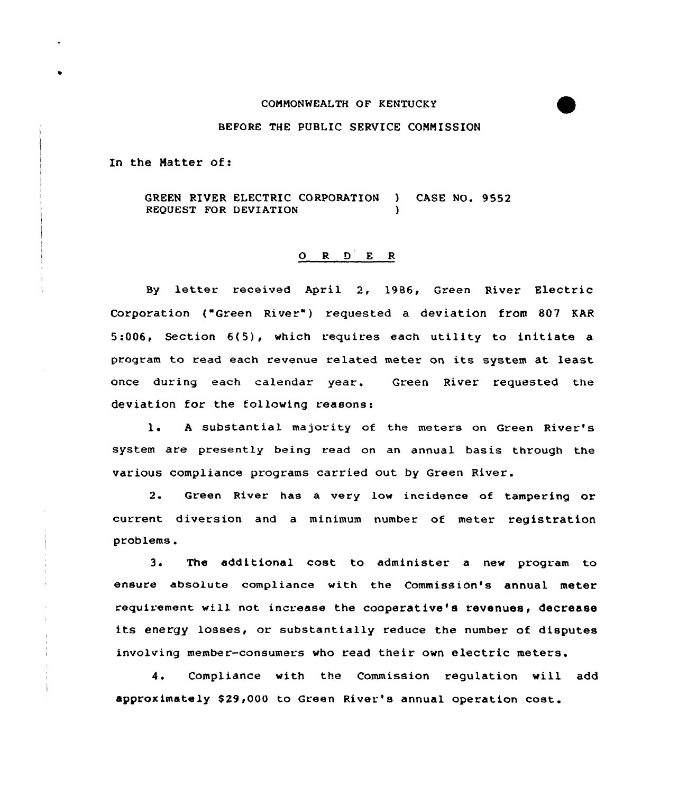## CONNONWEALTH OF KENTUCKY

## BEFORE THE PUBLIC SERVICE CONNISSION

In the Hatter of:

GREEN RIVER ELECTRIC CORPORATION ) CASE NO. 9552 REQUEST FOR DEVIATION

## O R D E R

By letter received April 2, 1986, Green River Electric Corporation ("Green River") requested a deviation from 807 KAR  $5:006$ . Section  $6(5)$ , which requires each utility to initiate a program to read each revenue related meter on its system at least once during each calendar year. Green River requested the deviation for the following reasons:

1. A substantial majority of the meters on Green River's system are presently being read on an annual basis through the various compliance programs carried out by Green River.

2. Green River has a very low incidence of tampering or current diversion and a minimum number of meter registration problems.

3. The additional cost to administer <sup>a</sup> new program to ensure absolute compliance with the Commission's annual meter requirement will not increase the cooperative's revenues, decrease its energy losses, or substantially reduce the number of disputes involving member-consumers who read their own electric meters.

4. Compliance with the Commission regulation will add approximately \$ 29,000 to Green River's annual operation cost.